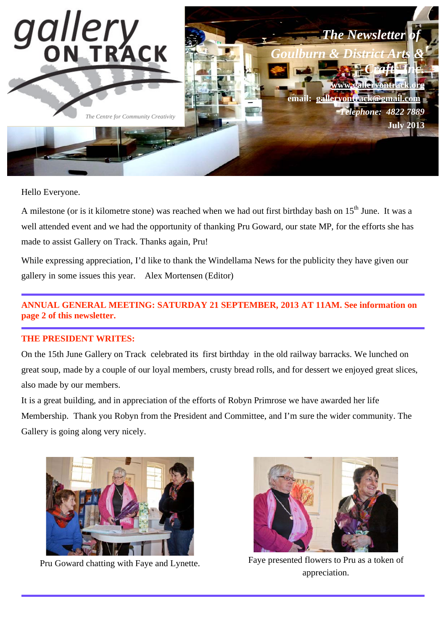

Hello Everyone.

A milestone (or is it kilometre stone) was reached when we had out first birthday bash on  $15<sup>th</sup>$  June. It was a well attended event and we had the opportunity of thanking Pru Goward, our state MP, for the efforts she has made to assist Gallery on Track. Thanks again, Pru!

While expressing appreciation, I'd like to thank the Windellama News for the publicity they have given our gallery in some issues this year. Alex Mortensen (Editor)

## **ANNUAL GENERAL MEETING: SATURDAY 21 SEPTEMBER, 2013 AT 11AM. See information on page 2 of this newsletter.**

#### **THE PRESIDENT WRITES:**

On the 15th June Gallery on Track celebrated its first birthday in the old railway barracks. We lunched on great soup, made by a couple of our loyal members, crusty bread rolls, and for dessert we enjoyed great slices, also made by our members.

It is a great building, and in appreciation of the efforts of Robyn Primrose we have awarded her life Membership. Thank you Robyn from the President and Committee, and I'm sure the wider community. The Gallery is going along very nicely.





Pru Goward chatting with Faye and Lynette. Faye presented flowers to Pru as a token of appreciation.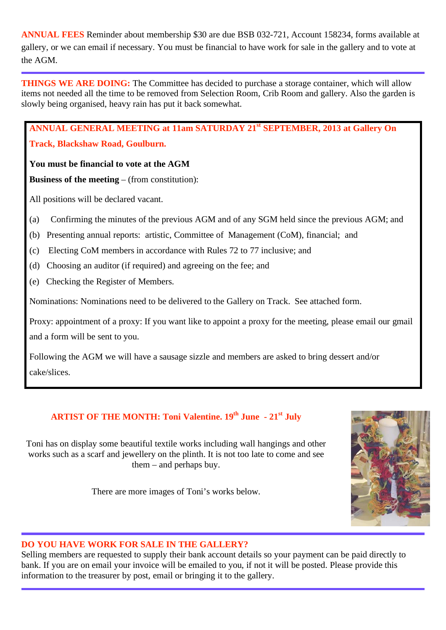**ANNUAL FEES** Reminder about membership \$30 are due BSB 032-721, Account 158234, forms available at gallery, or we can email if necessary. You must be financial to have work for sale in the gallery and to vote at the AGM.

**THINGS WE ARE DOING:** The Committee has decided to purchase a storage container, which will allow items not needed all the time to be removed from Selection Room, Crib Room and gallery. Also the garden is slowly being organised, heavy rain has put it back somewhat.

**ANNUAL GENERAL MEETING at 11am SATURDAY 21st SEPTEMBER, 2013 at Gallery On** 

#### **Track, Blackshaw Road, Goulburn.**

#### **You must be financial to vote at the AGM**

**Business of the meeting** – (from constitution):

All positions will be declared vacant.

- (a) Confirming the minutes of the previous AGM and of any SGM held since the previous AGM; and
- (b) Presenting annual reports: artistic, Committee of Management (CoM), financial; and
- (c) Electing CoM members in accordance with Rules 72 to 77 inclusive; and
- (d) Choosing an auditor (if required) and agreeing on the fee; and
- (e) Checking the Register of Members.

Nominations: Nominations need to be delivered to the Gallery on Track. See attached form.

Proxy: appointment of a proxy: If you want like to appoint a proxy for the meeting, please email our gmail and a form will be sent to you.

Following the AGM we will have a sausage sizzle and members are asked to bring dessert and/or cake/slices.

## **ARTIST OF THE MONTH: Toni Valentine. 19th June - 21st July**

Toni has on display some beautiful textile works including wall hangings and other works such as a scarf and jewellery on the plinth. It is not too late to come and see them – and perhaps buy.

There are more images of Toni's works below.



#### **DO YOU HAVE WORK FOR SALE IN THE GALLERY?**

Selling members are requested to supply their bank account details so your payment can be paid directly to bank. If you are on email your invoice will be emailed to you, if not it will be posted. Please provide this information to the treasurer by post, email or bringing it to the gallery.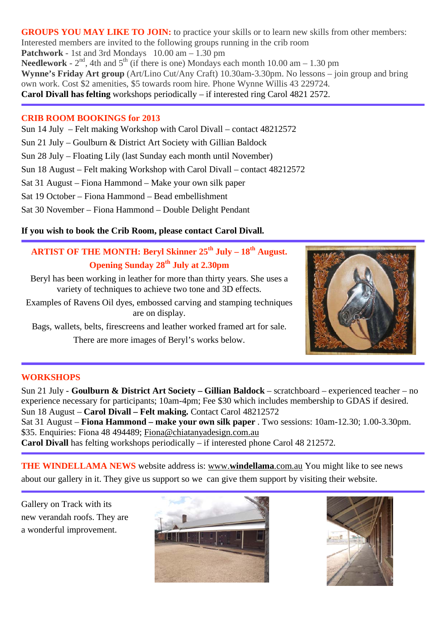GROUPS YOU MAY LIKE TO JOIN: to practice your skills or to learn new skills from other members: Interested members are invited to the following groups running in the crib room **Patchwork** - 1st and 3rd Mondays 10.00 am – 1.30 pm **Needlework** -  $2<sup>nd</sup>$ , 4th and  $5<sup>th</sup>$  (if there is one) Mondays each month 10.00 am – 1.30 pm **Wynne's Friday Art group** (Art/Lino Cut/Any Craft) 10.30am-3.30pm. No lessons – join group and bring own work. Cost \$2 amenities, \$5 towards room hire. Phone Wynne Willis 43 229724. **Carol Divall has felting** workshops periodically – if interested ring Carol 4821 2572.

#### **CRIB ROOM BOOKINGS for 2013**

Sun 14 July – Felt making Workshop with Carol Divall – contact 48212572

Sun 21 July – Goulburn & District Art Society with Gillian Baldock

Sun 28 July – Floating Lily (last Sunday each month until November)

Sun 18 August – Felt making Workshop with Carol Divall – contact 48212572

Sat 31 August – Fiona Hammond – Make your own silk paper

Sat 19 October – Fiona Hammond – Bead embellishment

Sat 30 November – Fiona Hammond – Double Delight Pendant

#### **If you wish to book the Crib Room, please contact Carol Divall.**

## **ARTIST OF THE MONTH: Beryl Skinner 25th July – 18th August. Opening Sunday 28th July at 2.30pm**

Beryl has been working in leather for more than thirty years. She uses a variety of techniques to achieve two tone and 3D effects.

Examples of Ravens Oil dyes, embossed carving and stamping techniques are on display.

Bags, wallets, belts, firescreens and leather worked framed art for sale. There are more images of Beryl's works below.



#### **WORKSHOPS**

Sun 21 July - **Goulburn & District Art Society – Gillian Baldock** – scratchboard – experienced teacher – no experience necessary for participants; 10am-4pm; Fee \$30 which includes membership to GDAS if desired. Sun 18 August – **Carol Divall – Felt making.** Contact Carol 48212572

Sat 31 August – **Fiona Hammond – make your own silk paper** . Two sessions: 10am-12.30; 1.00-3.30pm. \$35. Enquiries: Fiona 48 494489; Fiona@chiatanyadesign.com.au

**Carol Divall** has felting workshops periodically – if interested phone Carol 48 212572.

**THE WINDELLAMA NEWS** website address is: www.**windellama**.com.au You might like to see news about our gallery in it. They give us support so we can give them support by visiting their website.

Gallery on Track with its new verandah roofs. They are a wonderful improvement.



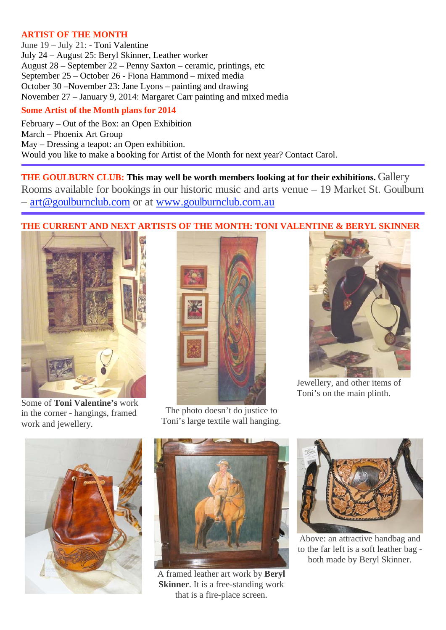#### **ARTIST OF THE MONTH**

June 19 – July 21: - Toni Valentine July 24 – August 25: Beryl Skinner, Leather worker August 28 – September 22 – Penny Saxton – ceramic, printings, etc September 25 – October 26 - Fiona Hammond – mixed media October 30 –November 23: Jane Lyons – painting and drawing November 27 – January 9, 2014: Margaret Carr painting and mixed media

#### **Some Artist of the Month plans for 2014**

February – Out of the Box: an Open Exhibition March – Phoenix Art Group May – Dressing a teapot: an Open exhibition. Would you like to make a booking for Artist of the Month for next year? Contact Carol.

**THE GOULBURN CLUB: This may well be worth members looking at for their exhibitions.** Gallery Rooms available for bookings in our historic music and arts venue – 19 Market St. Goulburn – art@goulburnclub.com or at www.goulburnclub.com.au

### **THE CURRENT AND NEXT ARTISTS OF THE MONTH: TONI VALENTINE & BERYL SKINNER**



Some of **Toni Valentine's** work in the corner - hangings, framed work and jewellery.



The photo doesn't do justice to Toni's large textile wall hanging.



Jewellery, and other items of Toni's on the main plinth.





A framed leather art work by **Beryl Skinner**. It is a free-standing work that is a fire-place screen.



Above: an attractive handbag and to the far left is a soft leather bag both made by Beryl Skinner.